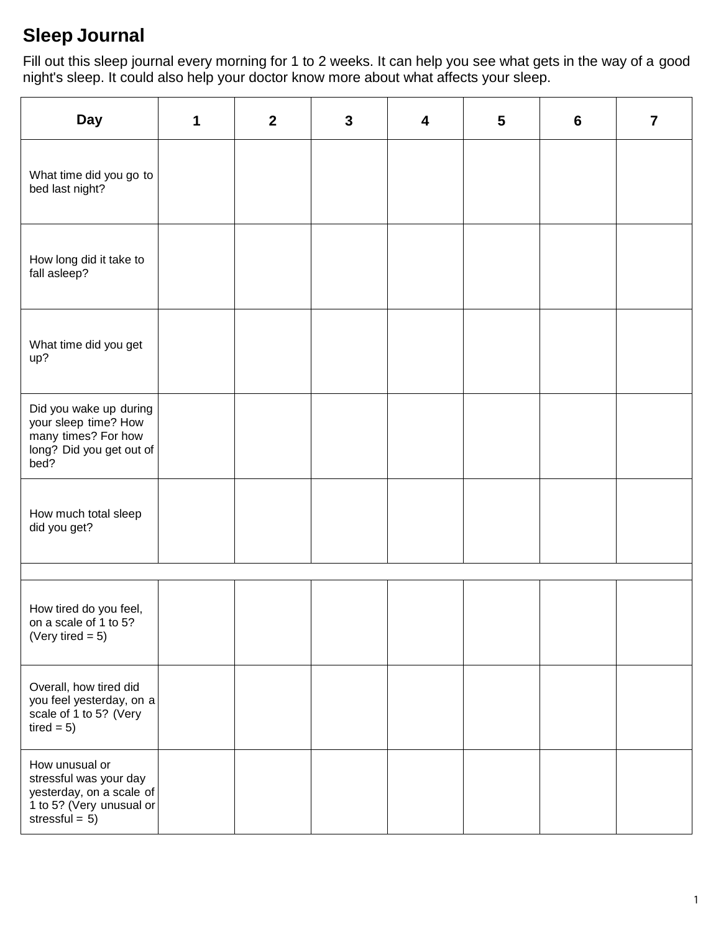## **Sleep Journal**

 Fill out this sleep journal every morning for 1 to 2 weeks. It can help you see what gets in the way of a good night's sleep. It could also help your doctor know more about what affects your sleep.

| <b>Day</b>                                                                                                           | 1 | $\boldsymbol{2}$ | $\mathbf{3}$ | 4 | 5 | 6 | $\overline{7}$ |
|----------------------------------------------------------------------------------------------------------------------|---|------------------|--------------|---|---|---|----------------|
| What time did you go to<br>bed last night?                                                                           |   |                  |              |   |   |   |                |
| How long did it take to<br>fall asleep?                                                                              |   |                  |              |   |   |   |                |
| What time did you get<br>up?                                                                                         |   |                  |              |   |   |   |                |
| Did you wake up during<br>your sleep time? How<br>many times? For how<br>long? Did you get out of<br>bed?            |   |                  |              |   |   |   |                |
| How much total sleep<br>did you get?                                                                                 |   |                  |              |   |   |   |                |
|                                                                                                                      |   |                  |              |   |   |   |                |
| How tired do you feel,<br>on a scale of 1 to 5?<br>(Very tired $= 5$ )                                               |   |                  |              |   |   |   |                |
| Overall, how tired did<br>you feel yesterday, on a<br>scale of 1 to 5? (Very<br>$tired = 5)$                         |   |                  |              |   |   |   |                |
| How unusual or<br>stressful was your day<br>yesterday, on a scale of<br>1 to 5? (Very unusual or<br>stressful = $5)$ |   |                  |              |   |   |   |                |